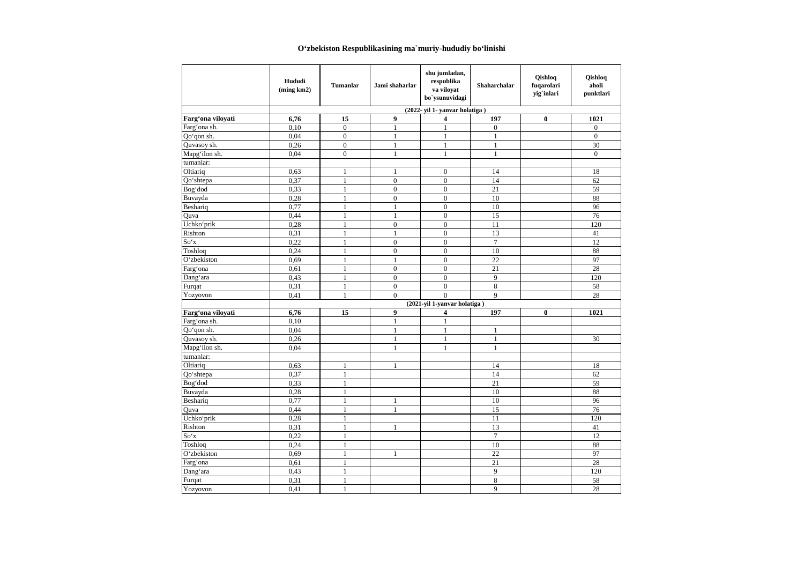## **O'zbekiston Respublikasining ma`muriy-hududiy bo'linishi**

|                   | Hududi<br>(ming km2)         | <b>Tumanlar</b> | Jami shaharlar   | shu jumladan,<br>respublika<br>va vilovat<br>bo`ysunuvidagi | <b>Shaharchalar</b> | Oishlog<br>fuqarolari<br>yig`inlari | Qishloq<br>aholi<br>punktlari |  |
|-------------------|------------------------------|-----------------|------------------|-------------------------------------------------------------|---------------------|-------------------------------------|-------------------------------|--|
|                   | (2022-yil 1-yanvar holatiga) |                 |                  |                                                             |                     |                                     |                               |  |
| Farg'ona vilovati | 6,76                         | 15              | $\boldsymbol{9}$ | 4                                                           | 197                 | $\bf{0}$                            | 1021                          |  |
| Farg'ona sh.      | 0,10                         | $\mathbf{0}$    | $\mathbf{1}$     | $\mathbf{1}$                                                | $\mathbf{0}$        |                                     | $\boldsymbol{0}$              |  |
| Oo'gon sh.        | 0.04                         | $\overline{0}$  | $\mathbf{1}$     | $\mathbf{1}$                                                | $\overline{1}$      |                                     | $\overline{0}$                |  |
| Quvasoy sh.       | 0,26                         | $\overline{0}$  | $\mathbf{1}$     | 1                                                           | $\mathbf{1}$        |                                     | 30                            |  |
| Mapg'ilon sh.     | 0.04                         | $\overline{0}$  | $\mathbf{1}$     | $\mathbf{1}$                                                | $\mathbf{1}$        |                                     | $\mathbf{0}$                  |  |
| tumanlar:         |                              |                 |                  |                                                             |                     |                                     |                               |  |
| Oltiariq          | 0.63                         | $\mathbf{1}$    | $\mathbf{1}$     | $\mathbf{0}$                                                | 14                  |                                     | 18                            |  |
| Qo'shtepa         | 0,37                         | $\mathbf{1}$    | $\overline{0}$   | $\overline{0}$                                              | 14                  |                                     | 62                            |  |
| Bog'dod           | 0,33                         | $\mathbf{1}$    | $\overline{0}$   | $\overline{0}$                                              | 21                  |                                     | 59                            |  |
| Buvayda           | 0,28                         | $\mathbf{1}$    | $\overline{0}$   | $\overline{0}$                                              | 10                  |                                     | 88                            |  |
| Beshariq          | 0.77                         | $\mathbf{1}$    | $\mathbf{1}$     | $\overline{0}$                                              | 10                  |                                     | 96                            |  |
| Ouva              | 0,44                         | $\mathbf{1}$    | $\mathbf{1}$     | $\overline{0}$                                              | 15                  |                                     | 76                            |  |
| Uchkoʻprik        | 0,28                         | $\mathbf{1}$    | $\overline{0}$   | $\theta$                                                    | 11                  |                                     | 120                           |  |
| Rishton           | 0,31                         | $\mathbf{1}$    | $\mathbf{1}$     | $\overline{0}$                                              | 13                  |                                     | 41                            |  |
| So'x              | 0,22                         | $\mathbf{1}$    | $\overline{0}$   | $\overline{0}$                                              | $\overline{7}$      |                                     | 12                            |  |
| Toshloq           | 0,24                         | $\mathbf{1}$    | $\mathbf{0}$     | $\overline{0}$                                              | 10                  |                                     | 88                            |  |
| O'zbekiston       | 0,69                         | $\mathbf{1}$    | $\mathbf{1}$     | $\overline{0}$                                              | 22                  |                                     | 97                            |  |
| Farg'ona          | 0,61                         | $\mathbf{1}$    | $\mathbf{0}$     | $\overline{0}$                                              | 21                  |                                     | 28                            |  |
| Dang'ara          | 0,43                         | $\mathbf{1}$    | $\overline{0}$   | $\overline{0}$                                              | $\mathbf{Q}$        |                                     | 120                           |  |
| Furqat            | 0,31                         | $\mathbf{1}$    | $\boldsymbol{0}$ | $\overline{0}$                                              | 8                   |                                     | 58                            |  |
| Yozyovon          | 0,41                         | $\mathbf{1}$    | $\overline{0}$   | $\overline{0}$                                              | $\overline{9}$      |                                     | 28                            |  |
|                   |                              |                 |                  | (2021-yil 1-yanvar holatiga)                                |                     |                                     |                               |  |
| Farg'ona viloyati | 6,76                         | 15              | 9                | 4                                                           | 197                 | $\bf{0}$                            | 1021                          |  |
| Farg'ona sh.      | 0,10                         |                 | $\mathbf{1}$     | $\mathbf{1}$                                                |                     |                                     |                               |  |
| Qo'qon sh.        | 0,04                         |                 | $\mathbf{1}$     | $\mathbf{1}$                                                | $\mathbf{1}$        |                                     |                               |  |
| Quvasoy sh.       | 0,26                         |                 | $\mathbf{1}$     | $\mathbf{1}$                                                | $\mathbf{1}$        |                                     | 30                            |  |
| Mapg'ilon sh.     | 0,04                         |                 | $\mathbf{1}$     | $\mathbf{1}$                                                | $\mathbf{1}$        |                                     |                               |  |
| tumanlar:         |                              |                 |                  |                                                             |                     |                                     |                               |  |
| Oltiariq          | 0,63                         | $\mathbf{1}$    | $\mathbf{1}$     |                                                             | 14                  |                                     | 18                            |  |
| Qo'shtepa         | 0,37                         | $\mathbf{1}$    |                  |                                                             | 14                  |                                     | 62                            |  |
| Bog'dod           | 0,33                         | $\mathbf{1}$    |                  |                                                             | 21                  |                                     | 59                            |  |
| Buvayda           | 0,28                         | $\mathbf{1}$    |                  |                                                             | 10                  |                                     | 88                            |  |
| Beshariq          | 0,77                         | $\mathbf{1}$    | 1                |                                                             | 10                  |                                     | 96                            |  |
| Quva              | 0,44                         | $\mathbf{1}$    | 1                |                                                             | 15                  |                                     | 76                            |  |
| Uchkoʻprik        | 0,28                         | $\mathbf{1}$    |                  |                                                             | 11                  |                                     | 120                           |  |
| Rishton           | 0,31                         | $\mathbf{1}$    | 1                |                                                             | 13                  |                                     | 41                            |  |
| So'x              | 0,22                         | $\mathbf{1}$    |                  |                                                             | $\overline{7}$      |                                     | 12                            |  |
| Toshlog           | 0,24                         | $\mathbf{1}$    |                  |                                                             | 10                  |                                     | 88                            |  |
| O'zbekiston       | 0,69                         | $\mathbf{1}$    | 1                |                                                             | 22                  |                                     | 97                            |  |
| Farg'ona          | 0,61                         | $\mathbf{1}$    |                  |                                                             | 21                  |                                     | 28                            |  |
| Dang'ara          | 0,43                         | $\mathbf{1}$    |                  |                                                             | 9                   |                                     | 120                           |  |
| Furqat            | 0,31                         | $\mathbf{1}$    |                  |                                                             | 8                   |                                     | 58                            |  |
| Yozyovon          | 0,41                         | $\mathbf{1}$    |                  |                                                             | 9                   |                                     | 28                            |  |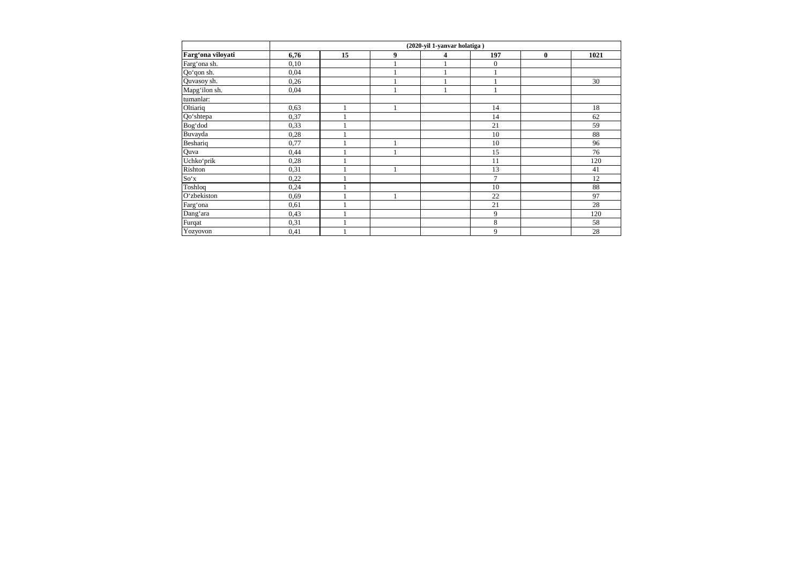|                   | (2020-yil 1-yanvar holatiga) |    |   |   |                |          |      |  |
|-------------------|------------------------------|----|---|---|----------------|----------|------|--|
| Farg'ona viloyati | 6,76                         | 15 | 9 | 4 | 197            | $\bf{0}$ | 1021 |  |
| Farg'ona sh.      | 0,10                         |    | 1 |   | $\mathbf{0}$   |          |      |  |
| Qo'qon sh.        | 0,04                         |    |   |   |                |          |      |  |
| Quvasoy sh.       | 0,26                         |    |   |   |                |          | 30   |  |
| Mapg'ilon sh.     | 0,04                         |    |   |   |                |          |      |  |
| tumanlar:         |                              |    |   |   |                |          |      |  |
| Oltiariq          | 0,63                         |    |   |   | 14             |          | 18   |  |
| Qo'shtepa         | 0,37                         |    |   |   | 14             |          | 62   |  |
| Bog'dod           | 0,33                         |    |   |   | 21             |          | 59   |  |
| Buvayda           | 0,28                         |    |   |   | 10             |          | 88   |  |
| Beshariq          | 0,77                         |    |   |   | 10             |          | 96   |  |
| Quva              | 0,44                         |    | 1 |   | 15             |          | 76   |  |
| Uchko'prik        | 0,28                         |    |   |   | 11             |          | 120  |  |
| Rishton           | 0,31                         |    |   |   | 13             |          | 41   |  |
| So'x              | 0,22                         |    |   |   | $\overline{7}$ |          | 12   |  |
| Toshloq           | 0,24                         |    |   |   | 10             |          | 88   |  |
| O'zbekiston       | 0,69                         |    | 1 |   | 22             |          | 97   |  |
| Farg'ona          | 0,61                         |    |   |   | 21             |          | 28   |  |
| Dang'ara          | 0,43                         |    |   |   | 9              |          | 120  |  |
| Furqat            | 0,31                         |    |   |   | 8              |          | 58   |  |
| Yozyovon          | 0,41                         |    |   |   | 9              |          | 28   |  |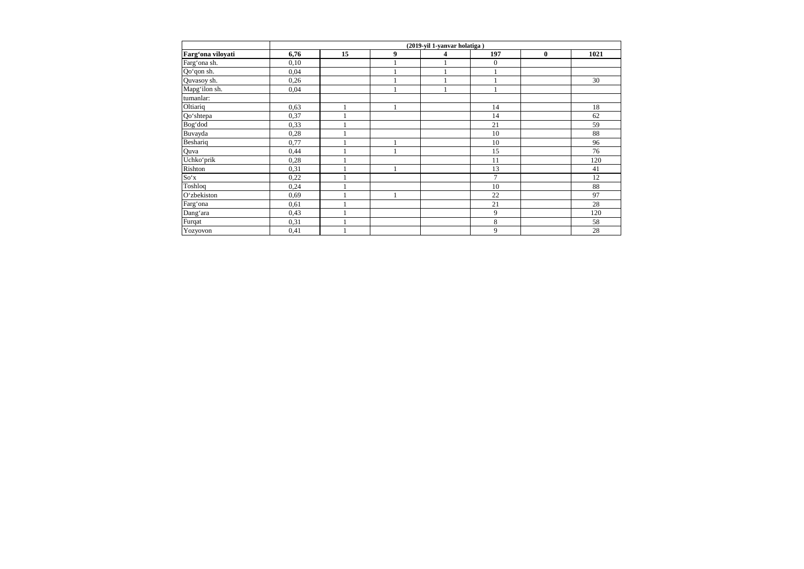|                   | (2019-yil 1-yanvar holatiga) |    |   |   |              |          |      |  |
|-------------------|------------------------------|----|---|---|--------------|----------|------|--|
| Farg'ona viloyati | 6,76                         | 15 | 9 | 4 | 197          | $\bf{0}$ | 1021 |  |
| Farg'ona sh.      | 0,10                         |    | 1 |   | $\mathbf{0}$ |          |      |  |
| Qo'qon sh.        | 0,04                         |    |   |   |              |          |      |  |
| Quvasoy sh.       | 0,26                         |    |   |   |              |          | 30   |  |
| Mapg'ilon sh.     | 0,04                         |    |   |   |              |          |      |  |
| tumanlar:         |                              |    |   |   |              |          |      |  |
| Oltiariq          | 0,63                         |    |   |   | 14           |          | 18   |  |
| Qo'shtepa         | 0,37                         |    |   |   | 14           |          | 62   |  |
| Bog'dod           | 0,33                         |    |   |   | 21           |          | 59   |  |
| Buvayda           | 0,28                         |    |   |   | 10           |          | 88   |  |
| Beshariq          | 0,77                         |    | 1 |   | 10           |          | 96   |  |
| Quva              | 0,44                         |    | 1 |   | 15           |          | 76   |  |
| Uchkoʻprik        | 0,28                         |    |   |   | 11           |          | 120  |  |
| Rishton           | 0,31                         |    |   |   | 13           |          | 41   |  |
| So'x              | 0,22                         |    |   |   | 7            |          | 12   |  |
| Toshloq           | 0,24                         |    |   |   | 10           |          | 88   |  |
| O'zbekiston       | 0,69                         |    | 1 |   | 22           |          | 97   |  |
| Farg'ona          | 0,61                         |    |   |   | 21           |          | 28   |  |
| Dang'ara          | 0,43                         |    |   |   | 9            |          | 120  |  |
| Furqat            | 0,31                         |    |   |   | 8            |          | 58   |  |
| Yozyovon          | 0,41                         |    |   |   | 9            |          | 28   |  |